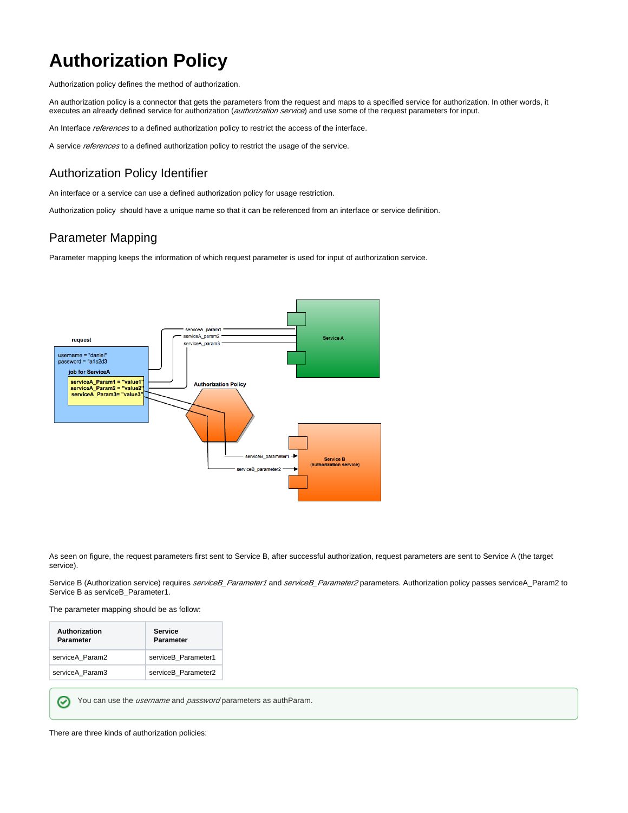# **Authorization Policy**

Authorization policy defines the method of authorization.

An authorization policy is a connector that gets the parameters from the request and maps to a specified service for authorization. In other words, it executes an already defined service for authorization (authorization service) and use some of the request parameters for input.

An Interface references to a defined authorization policy to restrict the access of the interface.

A service references to a defined authorization policy to restrict the usage of the service.

#### Authorization Policy Identifier

An interface or a service can use a defined authorization policy for usage restriction.

Authorization policy should have a unique name so that it can be referenced from an interface or service definition.

#### Parameter Mapping

Parameter mapping keeps the information of which request parameter is used for input of authorization service.



As seen on figure, the request parameters first sent to Service B, after successful authorization, request parameters are sent to Service A (the target service).

Service B (Authorization service) requires *serviceB\_Parameter1* and *serviceB\_Parameter2* parameters. Authorization policy passes serviceA\_Param2 to Service B as serviceB\_Parameter1.

The parameter mapping should be as follow:

| <b>Authorization</b><br><b>Parameter</b> | Service<br><b>Parameter</b> |
|------------------------------------------|-----------------------------|
| serviceA Param2                          | serviceB Parameter1         |
| serviceA Param3                          | serviceB Parameter2         |

You can use the *username* and *password* parameters as authParam.

There are three kinds of authorization policies:

⊘